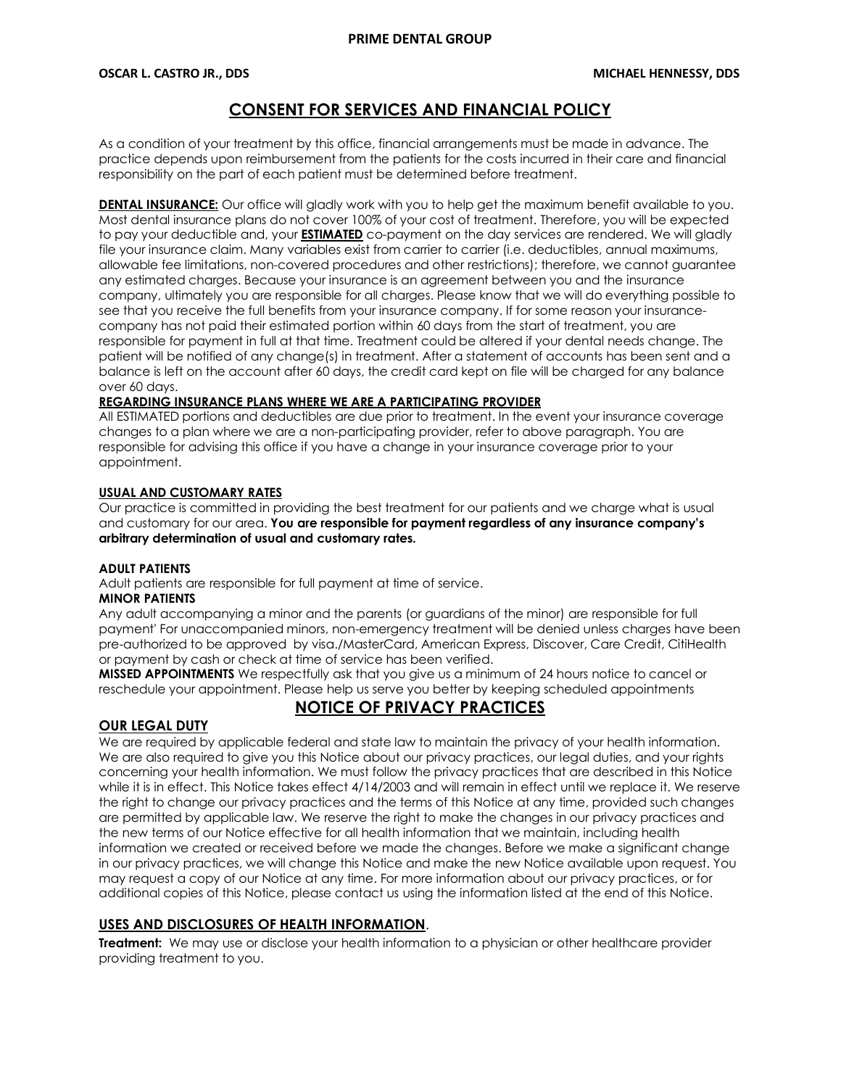# **CONSENT FOR SERVICES AND FINANCIAL POLICY**

As a condition of your treatment by this office, financial arrangements must be made in advance. The practice depends upon reimbursement from the patients for the costs incurred in their care and financial responsibility on the part of each patient must be determined before treatment.

**DENTAL INSURANCE:** Our office will gladly work with you to help get the maximum benefit available to you. Most dental insurance plans do not cover 100% of your cost of treatment. Therefore, you will be expected to pay your deductible and, your **ESTIMATED** co-payment on the day services are rendered. We will gladly file your insurance claim. Many variables exist from carrier to carrier (i.e. deductibles, annual maximums, allowable fee limitations, non-covered procedures and other restrictions); therefore, we cannot guarantee any estimated charges. Because your insurance is an agreement between you and the insurance company, ultimately you are responsible for all charges. Please know that we will do everything possible to see that you receive the full benefits from your insurance company. If for some reason your insurancecompany has not paid their estimated portion within 60 days from the start of treatment, you are responsible for payment in full at that time. Treatment could be altered if your dental needs change. The patient will be notified of any change(s) in treatment. After a statement of accounts has been sent and a balance is left on the account after 60 days, the credit card kept on file will be charged for any balance over 60 days.

## **REGARDING INSURANCE PLANS WHERE WE ARE A PARTICIPATING PROVIDER**

All ESTIMATED portions and deductibles are due prior to treatment. In the event your insurance coverage changes to a plan where we are a non-participating provider, refer to above paragraph. You are responsible for advising this office if you have a change in your insurance coverage prior to your appointment.

## **USUAL AND CUSTOMARY RATES**

Our practice is committed in providing the best treatment for our patients and we charge what is usual and customary for our area. **You are responsible for payment regardless of any insurance company's arbitrary determination of usual and customary rates.**

## **ADULT PATIENTS**

Adult patients are responsible for full payment at time of service.

## **MINOR PATIENTS**

Any adult accompanying a minor and the parents (or guardians of the minor) are responsible for full payment' For unaccompanied minors, non-emergency treatment will be denied unless charges have been pre-authorized to be approved by visa./MasterCard, American Express, Discover, Care Credit, CitiHealth or payment by cash or check at time of service has been verified.

**MISSED APPOINTMENTS** We respectfully ask that you give us a minimum of 24 hours notice to cancel or reschedule your appointment. Please help us serve you better by keeping scheduled appointments

# **NOTICE OF PRIVACY PRACTICES**

## **OUR LEGAL DUTY**

We are required by applicable federal and state law to maintain the privacy of your health information. We are also required to give you this Notice about our privacy practices, our legal duties, and your rights concerning your health information. We must follow the privacy practices that are described in this Notice while it is in effect. This Notice takes effect 4/14/2003 and will remain in effect until we replace it. We reserve the right to change our privacy practices and the terms of this Notice at any time, provided such changes are permitted by applicable law. We reserve the right to make the changes in our privacy practices and the new terms of our Notice effective for all health information that we maintain, including health information we created or received before we made the changes. Before we make a significant change in our privacy practices, we will change this Notice and make the new Notice available upon request. You may request a copy of our Notice at any time. For more information about our privacy practices, or for additional copies of this Notice, please contact us using the information listed at the end of this Notice.

## **USES AND DISCLOSURES OF HEALTH INFORMATION**.

**Treatment:** We may use or disclose your health information to a physician or other healthcare provider providing treatment to you.